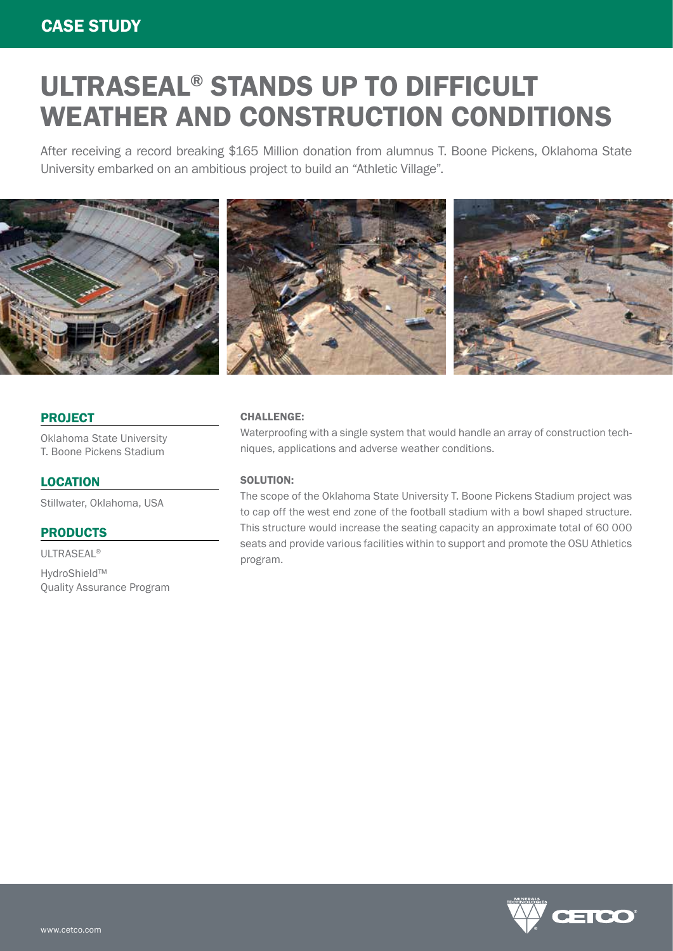### CASE STUDY

# ULTRASEAL® STANDS UP TO DIFFICULT WEATHER AND CONSTRUCTION CONDITIONS

After receiving a record breaking \$165 Million donation from alumnus T. Boone Pickens, Oklahoma State University embarked on an ambitious project to build an "Athletic Village".



#### PROJECT

Oklahoma State University T. Boone Pickens Stadium

#### LOCATION

Stillwater, Oklahoma, USA

#### PRODUCTS

ULTRASEAL®

HydroShield™ Quality Assurance Program

#### CHALLENGE:

Waterproofing with a single system that would handle an array of construction techniques, applications and adverse weather conditions.

#### SOLUTION:

The scope of the Oklahoma State University T. Boone Pickens Stadium project was to cap off the west end zone of the football stadium with a bowl shaped structure. This structure would increase the seating capacity an approximate total of 60 000 seats and provide various facilities within to support and promote the OSU Athletics program.